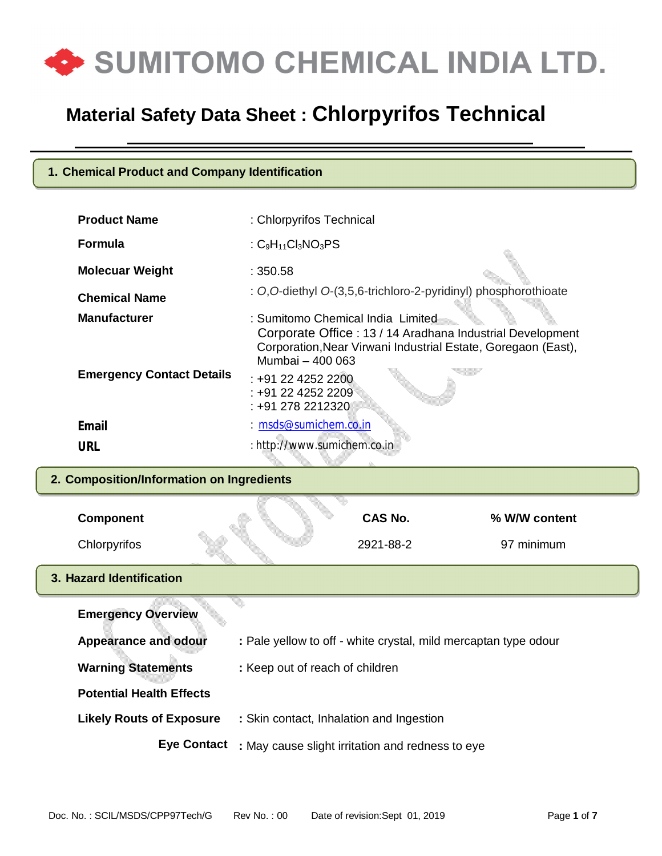

#### **1. Chemical Product and Company Identification**

| <b>Product Name</b>              | : Chlorpyrifos Technical                                                                                                                                                            |
|----------------------------------|-------------------------------------------------------------------------------------------------------------------------------------------------------------------------------------|
| <b>Formula</b>                   | : $C_9H_{11}Cl_3NO_3PS$                                                                                                                                                             |
| <b>Molecuar Weight</b>           | : 350.58                                                                                                                                                                            |
| <b>Chemical Name</b>             | : O, O-diethyl O-(3,5,6-trichloro-2-pyridinyl) phosphorothioate                                                                                                                     |
| <b>Manufacturer</b>              | : Sumitomo Chemical India Limited<br>Corporate Office: 13 / 14 Aradhana Industrial Development<br>Corporation, Near Virwani Industrial Estate, Goregaon (East),<br>Mumbai - 400 063 |
| <b>Emergency Contact Details</b> | $: +912242522200$<br>: +91 22 4252 2209<br>: +91 278 2212320                                                                                                                        |
| Email                            | $: m$ sds@sumichem.co.in                                                                                                                                                            |
| <b>URL</b>                       | : http://www.sumichem.co.in                                                                                                                                                         |

#### **2. Composition/Information on Ingredients**

| <b>Component</b>                |                                 | CAS No.                                          | % W/W content                                                   |
|---------------------------------|---------------------------------|--------------------------------------------------|-----------------------------------------------------------------|
| Chlorpyrifos                    |                                 | 2921-88-2                                        | 97 minimum                                                      |
| 3. Hazard Identification        |                                 |                                                  |                                                                 |
| <b>Emergency Overview</b>       |                                 |                                                  |                                                                 |
| <b>Appearance and odour</b>     |                                 |                                                  | : Pale yellow to off - white crystal, mild mercaptan type odour |
| <b>Warning Statements</b>       | : Keep out of reach of children |                                                  |                                                                 |
| <b>Potential Health Effects</b> |                                 |                                                  |                                                                 |
| <b>Likely Routs of Exposure</b> |                                 | : Skin contact, Inhalation and Ingestion         |                                                                 |
| <b>Eye Contact</b>              |                                 | : May cause slight irritation and redness to eye |                                                                 |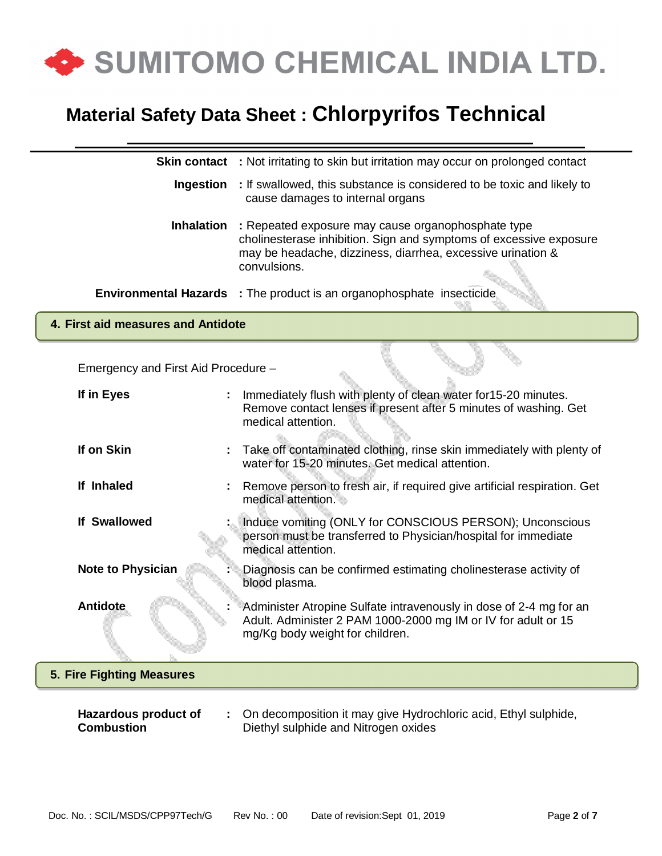

| <b>Skin contact</b>                       | : Not irritating to skin but irritation may occur on prolonged contact                                                                                                                                  |
|-------------------------------------------|---------------------------------------------------------------------------------------------------------------------------------------------------------------------------------------------------------|
| <b>Ingestion</b>                          | : If swallowed, this substance is considered to be toxic and likely to<br>cause damages to internal organs                                                                                              |
| <b>Inhalation</b>                         | : Repeated exposure may cause organophosphate type<br>cholinesterase inhibition. Sign and symptoms of excessive exposure<br>may be headache, dizziness, diarrhea, excessive urination &<br>convulsions. |
|                                           | <b>Environmental Hazards</b> : The product is an organophosphate insecticide                                                                                                                            |
| 4. First aid measures and Antidote        |                                                                                                                                                                                                         |
| Emergency and First Aid Procedure -       |                                                                                                                                                                                                         |
| If in Eyes                                | Immediately flush with plenty of clean water for 15-20 minutes.<br>Remove contact lenses if present after 5 minutes of washing. Get<br>medical attention.                                               |
| If on Skin                                | Take off contaminated clothing, rinse skin immediately with plenty of<br>water for 15-20 minutes. Get medical attention.                                                                                |
| If Inhaled                                | Remove person to fresh air, if required give artificial respiration. Get<br>medical attention.                                                                                                          |
| <b>If Swallowed</b>                       | Induce vomiting (ONLY for CONSCIOUS PERSON); Unconscious<br>person must be transferred to Physician/hospital for immediate<br>medical attention.                                                        |
| <b>Note to Physician</b>                  | Diagnosis can be confirmed estimating cholinesterase activity of<br>blood plasma.                                                                                                                       |
| <b>Antidote</b>                           | Administer Atropine Sulfate intravenously in dose of 2-4 mg for an<br>Adult. Administer 2 PAM 1000-2000 mg IM or IV for adult or 15<br>mg/Kg body weight for children.                                  |
| 5. Fire Fighting Measures                 |                                                                                                                                                                                                         |
| Hazardous product of<br><b>Combustion</b> | On decomposition it may give Hydrochloric acid, Ethyl sulphide,<br>Diethyl sulphide and Nitrogen oxides                                                                                                 |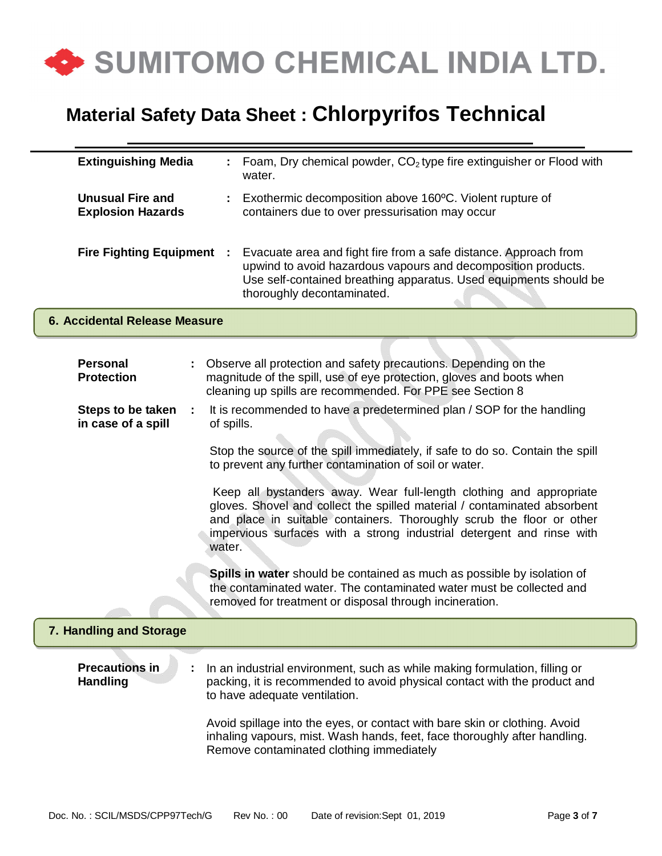

| <b>Extinguishing Media</b>                          |                                                                                                                                                                                                      | Foam, Dry chemical powder, CO <sub>2</sub> type fire extinguisher or Flood with<br>water.                                                                                                                                                                                                         |
|-----------------------------------------------------|------------------------------------------------------------------------------------------------------------------------------------------------------------------------------------------------------|---------------------------------------------------------------------------------------------------------------------------------------------------------------------------------------------------------------------------------------------------------------------------------------------------|
| <b>Unusual Fire and</b><br><b>Explosion Hazards</b> |                                                                                                                                                                                                      | Exothermic decomposition above 160°C. Violent rupture of<br>containers due to over pressurisation may occur                                                                                                                                                                                       |
| <b>Fire Fighting Equipment</b><br>- 11              |                                                                                                                                                                                                      | Evacuate area and fight fire from a safe distance. Approach from<br>upwind to avoid hazardous vapours and decomposition products.<br>Use self-contained breathing apparatus. Used equipments should be<br>thoroughly decontaminated.                                                              |
| 6. Accidental Release Measure                       |                                                                                                                                                                                                      |                                                                                                                                                                                                                                                                                                   |
|                                                     |                                                                                                                                                                                                      |                                                                                                                                                                                                                                                                                                   |
| <b>Personal</b><br><b>Protection</b>                | Observe all protection and safety precautions. Depending on the<br>magnitude of the spill, use of eye protection, gloves and boots when<br>cleaning up spills are recommended. For PPE see Section 8 |                                                                                                                                                                                                                                                                                                   |
| Steps to be taken<br>in case of a spill             | It is recommended to have a predetermined plan / SOP for the handling<br>of spills.                                                                                                                  |                                                                                                                                                                                                                                                                                                   |
|                                                     |                                                                                                                                                                                                      | Stop the source of the spill immediately, if safe to do so. Contain the spill<br>to prevent any further contamination of soil or water.                                                                                                                                                           |
|                                                     | water.                                                                                                                                                                                               | Keep all bystanders away. Wear full-length clothing and appropriate<br>gloves. Shovel and collect the spilled material / contaminated absorbent<br>and place in suitable containers. Thoroughly scrub the floor or other<br>impervious surfaces with a strong industrial detergent and rinse with |
|                                                     |                                                                                                                                                                                                      | Spills in water should be contained as much as possible by isolation of<br>the contaminated water. The contaminated water must be collected and<br>removed for treatment or disposal through incineration.                                                                                        |
| 7. Handling and Storage                             |                                                                                                                                                                                                      |                                                                                                                                                                                                                                                                                                   |
| <b>Precautions in</b><br><b>Handling</b>            |                                                                                                                                                                                                      | In an industrial environment, such as while making formulation, filling or<br>packing, it is recommended to avoid physical contact with the product and<br>to have adequate ventilation.                                                                                                          |
|                                                     |                                                                                                                                                                                                      | Avoid spillage into the eyes, or contact with bare skin or clothing. Avoid<br>inhaling vapours, mist. Wash hands, feet, face thoroughly after handling.<br>Remove contaminated clothing immediately                                                                                               |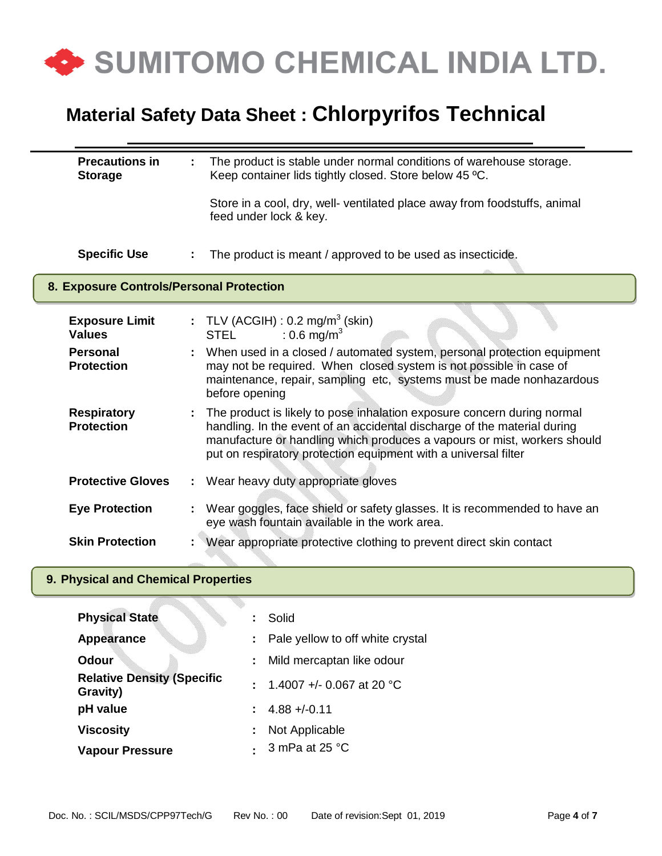

| <b>Precautions in</b><br><b>Storage</b>  |                           | The product is stable under normal conditions of warehouse storage.<br>Keep container lids tightly closed. Store below 45 °C.                                                                                                                                                                      |  |
|------------------------------------------|---------------------------|----------------------------------------------------------------------------------------------------------------------------------------------------------------------------------------------------------------------------------------------------------------------------------------------------|--|
|                                          |                           | Store in a cool, dry, well- ventilated place away from foodstuffs, animal<br>feed under lock & key.                                                                                                                                                                                                |  |
| <b>Specific Use</b>                      |                           | The product is meant / approved to be used as insecticide.                                                                                                                                                                                                                                         |  |
| 8. Exposure Controls/Personal Protection |                           |                                                                                                                                                                                                                                                                                                    |  |
| <b>Exposure Limit</b><br><b>Values</b>   |                           | : TLV (ACGIH) : $0.2 \text{ mg/m}^3$ (skin)<br>: 0.6 mg/m <sup>3</sup><br><b>STEL</b>                                                                                                                                                                                                              |  |
| <b>Personal</b><br><b>Protection</b>     |                           | When used in a closed / automated system, personal protection equipment<br>may not be required. When closed system is not possible in case of<br>maintenance, repair, sampling etc, systems must be made nonhazardous<br>before opening                                                            |  |
| <b>Respiratory</b><br><b>Protection</b>  |                           | The product is likely to pose inhalation exposure concern during normal<br>handling. In the event of an accidental discharge of the material during<br>manufacture or handling which produces a vapours or mist, workers should<br>put on respiratory protection equipment with a universal filter |  |
| <b>Protective Gloves</b>                 | $\mathbb{Z}^{\mathbb{Z}}$ | Wear heavy duty appropriate gloves                                                                                                                                                                                                                                                                 |  |
| <b>Eye Protection</b>                    |                           | Wear goggles, face shield or safety glasses. It is recommended to have an<br>eye wash fountain available in the work area.                                                                                                                                                                         |  |
| <b>Skin Protection</b>                   |                           | Wear appropriate protective clothing to prevent direct skin contact                                                                                                                                                                                                                                |  |
| 9. Physical and Chemical Properties      |                           |                                                                                                                                                                                                                                                                                                    |  |
| <b>Physical State</b>                    |                           | Solid                                                                                                                                                                                                                                                                                              |  |

|        | oullu                              |
|--------|------------------------------------|
|        | : Pale yellow to off white crystal |
|        | Mild mercaptan like odour          |
|        | : 1.4007 +/- 0.067 at 20 °C        |
|        | $: 4.88 + (-0.11)$                 |
| ÷      | Not Applicable                     |
| $\sim$ | 3 mPa at 25 °C                     |
|        |                                    |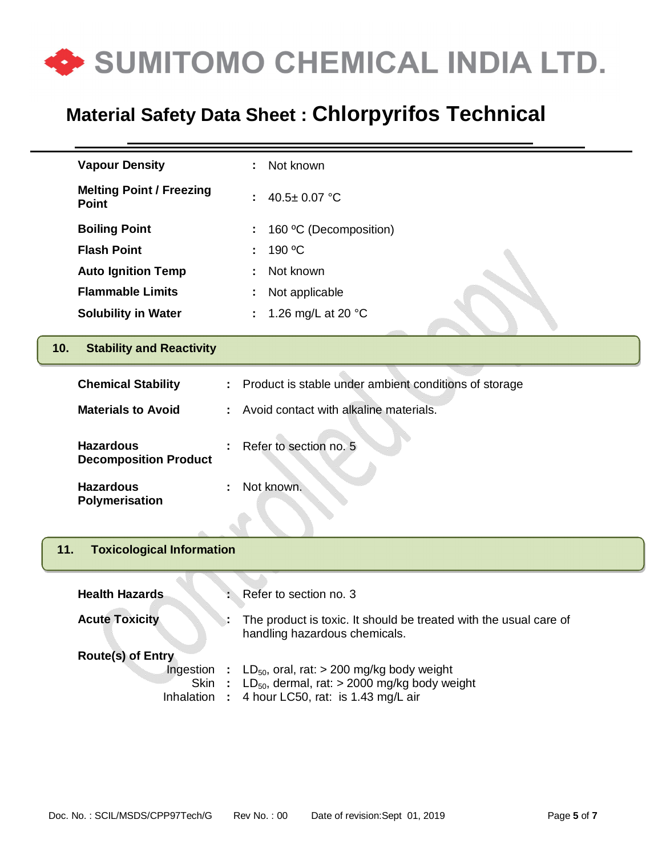

| <b>Vapour Density</b>                            | Not known                                                                                                                                 |  |  |
|--------------------------------------------------|-------------------------------------------------------------------------------------------------------------------------------------------|--|--|
| <b>Melting Point / Freezing</b><br><b>Point</b>  | 40.5± 0.07 °C                                                                                                                             |  |  |
| <b>Boiling Point</b>                             | 160 °C (Decomposition)                                                                                                                    |  |  |
| <b>Flash Point</b>                               | 190 °C                                                                                                                                    |  |  |
| <b>Auto Ignition Temp</b>                        | Not known                                                                                                                                 |  |  |
| <b>Flammable Limits</b>                          | Not applicable                                                                                                                            |  |  |
| <b>Solubility in Water</b>                       | 1.26 mg/L at 20 °C<br>÷                                                                                                                   |  |  |
| <b>Stability and Reactivity</b><br>10.           |                                                                                                                                           |  |  |
| <b>Chemical Stability</b>                        | Product is stable under ambient conditions of storage                                                                                     |  |  |
| <b>Materials to Avoid</b>                        | Avoid contact with alkaline materials.                                                                                                    |  |  |
| <b>Hazardous</b><br><b>Decomposition Product</b> | Refer to section no. 5                                                                                                                    |  |  |
| <b>Hazardous</b><br>Polymerisation               | Not known.                                                                                                                                |  |  |
|                                                  |                                                                                                                                           |  |  |
| <b>Toxicological Information</b><br>11.          |                                                                                                                                           |  |  |
| <b>Health Hazards</b>                            | Refer to section no. 3                                                                                                                    |  |  |
| <b>Acute Toxicity</b>                            | The product is toxic. It should be treated with the usual care of<br>handling hazardous chemicals.                                        |  |  |
| <b>Route(s) of Entry</b>                         |                                                                                                                                           |  |  |
| Ingestion<br><b>Skin</b><br>Inhalation           | $LD_{50}$ , oral, rat: > 200 mg/kg body weight<br>$LD_{50}$ , dermal, rat: > 2000 mg/kg body weight<br>4 hour LC50, rat: is 1.43 mg/L air |  |  |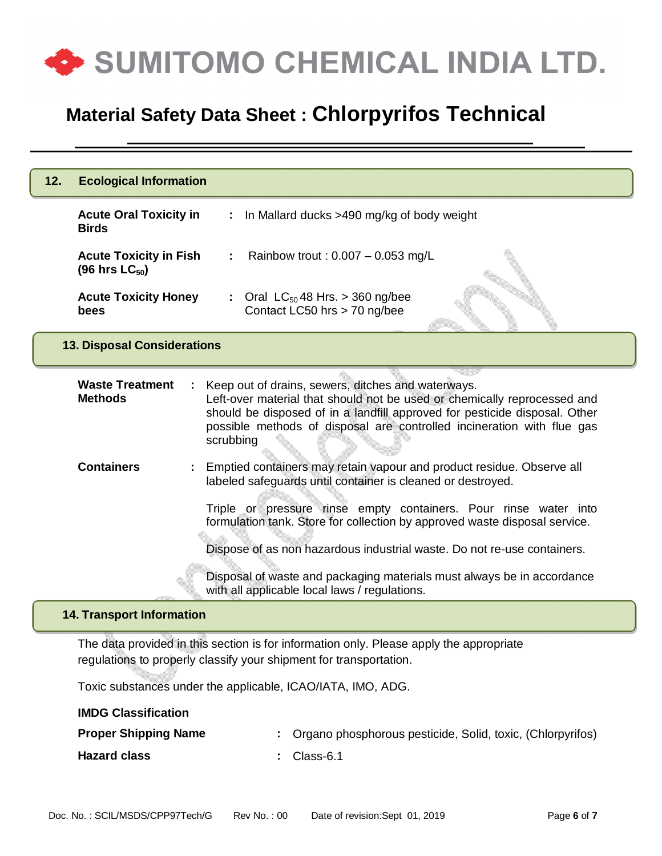

| 12.<br><b>Ecological Information</b>                 |                                                                                                                                                                                                                                                                                                     |  |  |
|------------------------------------------------------|-----------------------------------------------------------------------------------------------------------------------------------------------------------------------------------------------------------------------------------------------------------------------------------------------------|--|--|
| <b>Acute Oral Toxicity in</b><br><b>Birds</b>        | In Mallard ducks >490 mg/kg of body weight                                                                                                                                                                                                                                                          |  |  |
| <b>Acute Toxicity in Fish</b><br>(96 hrs $LC_{50}$ ) | Rainbow trout: $0.007 - 0.053$ mg/L                                                                                                                                                                                                                                                                 |  |  |
| <b>Acute Toxicity Honey</b><br>bees                  | : Oral $LC_{50}$ 48 Hrs. > 360 ng/bee<br>Contact LC50 hrs > 70 ng/bee                                                                                                                                                                                                                               |  |  |
| <b>13. Disposal Considerations</b>                   |                                                                                                                                                                                                                                                                                                     |  |  |
| <b>Waste Treatment</b><br><b>Methods</b>             | Keep out of drains, sewers, ditches and waterways.<br>Left-over material that should not be used or chemically reprocessed and<br>should be disposed of in a landfill approved for pesticide disposal. Other<br>possible methods of disposal are controlled incineration with flue gas<br>scrubbing |  |  |
| <b>Containers</b>                                    | Emptied containers may retain vapour and product residue. Observe all<br>labeled safeguards until container is cleaned or destroyed.<br>Triple or pressure rinse empty containers. Pour rinse water into<br>formulation tank. Store for collection by approved waste disposal service.              |  |  |
|                                                      | Dispose of as non hazardous industrial waste. Do not re-use containers.                                                                                                                                                                                                                             |  |  |
|                                                      | Disposal of waste and packaging materials must always be in accordance<br>with all applicable local laws / regulations.                                                                                                                                                                             |  |  |
| <b>14. Transport Information</b>                     |                                                                                                                                                                                                                                                                                                     |  |  |
|                                                      | The data provided in this section is for information only. Please apply the appropriate                                                                                                                                                                                                             |  |  |

regulations to properly classify your shipment for transportation.

Toxic substances under the applicable, ICAO/IATA, IMO, ADG.

| <b>IMDG Classification</b>  |                                                              |
|-----------------------------|--------------------------------------------------------------|
| <b>Proper Shipping Name</b> | : Organo phosphorous pesticide, Solid, toxic, (Chlorpyrifos) |
| <b>Hazard class</b>         | $\therefore$ Class-6.1                                       |